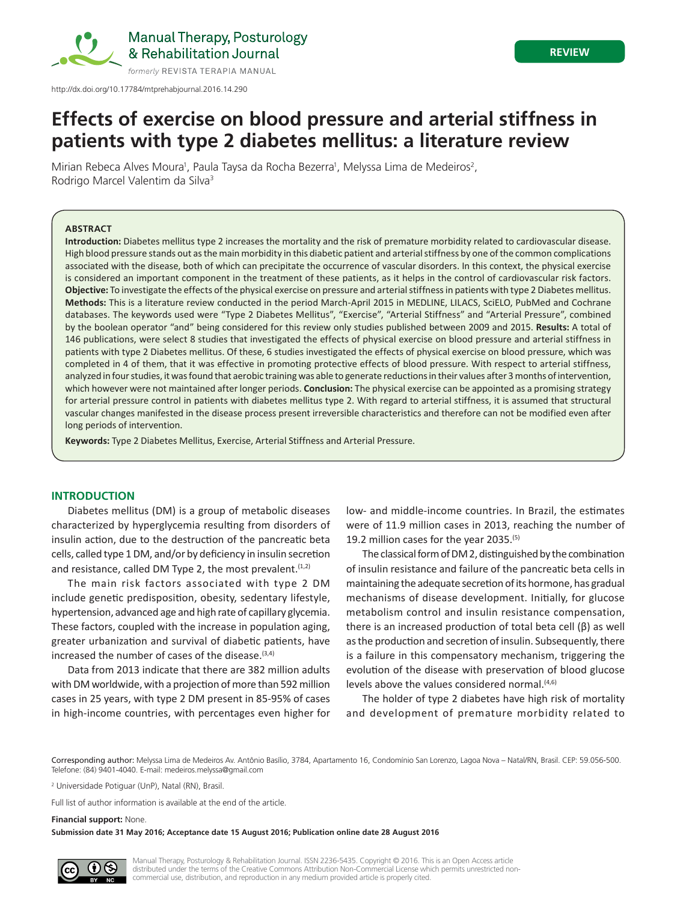

Manual Therapy, Posturology & Rehabilitation Journal

# **REVIEW**

# **Effects of exercise on blood pressure and arterial stiffness in patients with type 2 diabetes mellitus: a literature review**

Mirian Rebeca Alves Moura<sup>1</sup>, Paula Taysa da Rocha Bezerra<sup>1</sup>, Melyssa Lima de Medeiros<sup>2</sup>, Rodrigo Marcel Valentim da Silva3

## **ABSTRACT**

**Introduction:** Diabetes mellitus type 2 increases the mortality and the risk of premature morbidity related to cardiovascular disease. High blood pressure stands out as the main morbidity in this diabetic patient and arterial stiffness by one of the common complications associated with the disease, both of which can precipitate the occurrence of vascular disorders. In this context, the physical exercise is considered an important component in the treatment of these patients, as it helps in the control of cardiovascular risk factors. **Objective:** To investigate the effects of the physical exercise on pressure and arterial stiffness in patients with type 2 Diabetes mellitus. **Methods:** This is a literature review conducted in the period March-April 2015 in MEDLINE, LILACS, SciELO, PubMed and Cochrane databases. The keywords used were "Type 2 Diabetes Mellitus", "Exercise", "Arterial Stiffness" and "Arterial Pressure", combined by the boolean operator "and" being considered for this review only studies published between 2009 and 2015. **Results:** A total of 146 publications, were select 8 studies that investigated the effects of physical exercise on blood pressure and arterial stiffness in patients with type 2 Diabetes mellitus. Of these, 6 studies investigated the effects of physical exercise on blood pressure, which was completed in 4 of them, that it was effective in promoting protective effects of blood pressure. With respect to arterial stiffness, analyzed in four studies, it was found that aerobic training was able to generate reductions in their values after 3 months of intervention, which however were not maintained after longer periods. **Conclusion:** The physical exercise can be appointed as a promising strategy for arterial pressure control in patients with diabetes mellitus type 2. With regard to arterial stiffness, it is assumed that structural vascular changes manifested in the disease process present irreversible characteristics and therefore can not be modified even after long periods of intervention.

**Keywords:** Type 2 Diabetes Mellitus, Exercise, Arterial Stiffness and Arterial Pressure.

## **INTRODUCTION**

Diabetes mellitus (DM) is a group of metabolic diseases characterized by hyperglycemia resulting from disorders of insulin action, due to the destruction of the pancreatic beta cells, called type 1 DM, and/or by deficiency in insulin secretion and resistance, called DM Type 2, the most prevalent.<sup>(1,2)</sup>

The main risk factors associated with type 2 DM include genetic predisposition, obesity, sedentary lifestyle, hypertension, advanced age and high rate of capillary glycemia. These factors, coupled with the increase in population aging, greater urbanization and survival of diabetic patients, have increased the number of cases of the disease.<sup>(3,4)</sup>

Data from 2013 indicate that there are 382 million adults with DM worldwide, with a projection of more than 592 million cases in 25 years, with type 2 DM present in 85-95% of cases in high-income countries, with percentages even higher for low- and middle-income countries. In Brazil, the estimates were of 11.9 million cases in 2013, reaching the number of 19.2 million cases for the year 2035.(5)

The classical form of DM 2, distinguished by the combination of insulin resistance and failure of the pancreatic beta cells in maintaining the adequate secretion of its hormone, has gradual mechanisms of disease development. Initially, for glucose metabolism control and insulin resistance compensation, there is an increased production of total beta cell (β) as well as the production and secretion of insulin. Subsequently, there is a failure in this compensatory mechanism, triggering the evolution of the disease with preservation of blood glucose levels above the values considered normal.<sup>(4,6)</sup>

The holder of type 2 diabetes have high risk of mortality and development of premature morbidity related to

Corresponding author: Melyssa Lima de Medeiros Av. Antônio Basílio, 3784, Apartamento 16, Condomínio San Lorenzo, Lagoa Nova – Natal/RN, Brasil. CEP: 59.056-500. Telefone: (84) 9401-4040. E-mail: medeiros.melyssa@gmail.com

<sup>2</sup> Universidade Potiguar (UnP), Natal (RN), Brasil.

Full list of author information is available at the end of the article.

**Financial support:** None.

**Submission date 31 May 2016; Acceptance date 15 August 2016; Publication online date 28 August 2016**

Manual Therapy, Posturology & Rehabilitation Journal. ISSN 2236-5435. Copyright © 2016. This is an Open Access article distributed under the terms of the Creative Commons Attribution Non-Commercial License which permits unrestricted noncommercial use, distribution, and reproduction in any medium provided article is properly cited.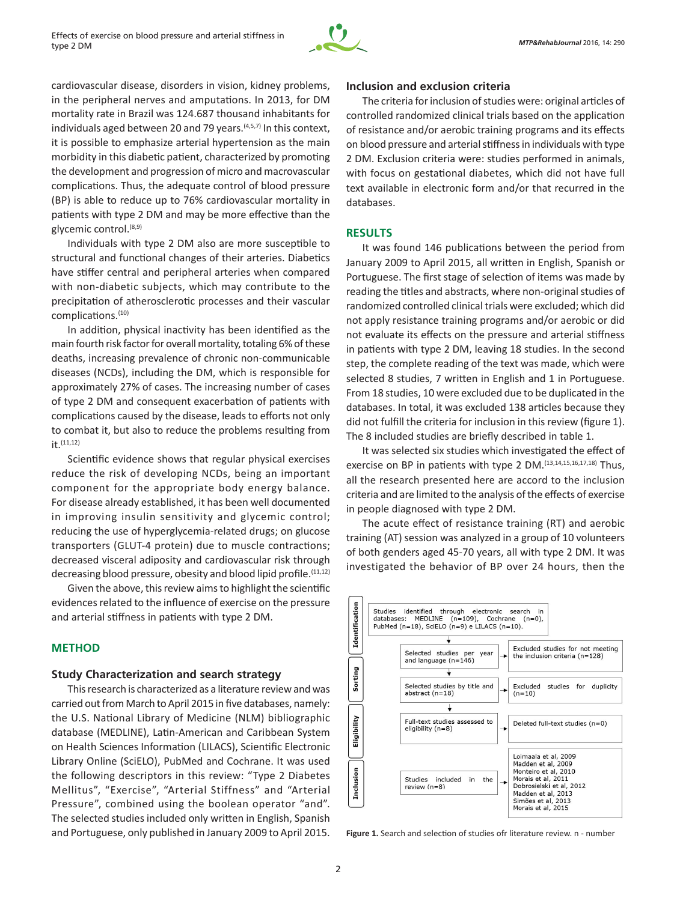

cardiovascular disease, disorders in vision, kidney problems, in the peripheral nerves and amputations. In 2013, for DM mortality rate in Brazil was 124.687 thousand inhabitants for individuals aged between 20 and 79 years. $(4,5,7)$  In this context, it is possible to emphasize arterial hypertension as the main morbidity in this diabetic patient, characterized by promoting the development and progression of micro and macrovascular complications. Thus, the adequate control of blood pressure (BP) is able to reduce up to 76% cardiovascular mortality in patients with type 2 DM and may be more effective than the glycemic control.(8,9)

Individuals with type 2 DM also are more susceptible to structural and functional changes of their arteries. Diabetics have stiffer central and peripheral arteries when compared with non-diabetic subjects, which may contribute to the precipitation of atherosclerotic processes and their vascular complications.(10)

In addition, physical inactivity has been identified as the main fourth risk factor for overall mortality, totaling 6% of these deaths, increasing prevalence of chronic non‑communicable diseases (NCDs), including the DM, which is responsible for approximately 27% of cases. The increasing number of cases of type 2 DM and consequent exacerbation of patients with complications caused by the disease, leads to efforts not only to combat it, but also to reduce the problems resulting from it  $(11,12)$ 

Scientific evidence shows that regular physical exercises reduce the risk of developing NCDs, being an important component for the appropriate body energy balance. For disease already established, it has been well documented in improving insulin sensitivity and glycemic control; reducing the use of hyperglycemia-related drugs; on glucose transporters (GLUT-4 protein) due to muscle contractions; decreased visceral adiposity and cardiovascular risk through decreasing blood pressure, obesity and blood lipid profile.<sup>(11,12)</sup>

Given the above, this review aims to highlight the scientific evidences related to the influence of exercise on the pressure and arterial stiffness in patients with type 2 DM.

## **METHOD**

# **Study Characterization and search strategy**

This research is characterized as a literature review and was carried out from March to April 2015 in five databases, namely: the U.S. National Library of Medicine (NLM) bibliographic database (MEDLINE), Latin-American and Caribbean System on Health Sciences Information (LILACS), Scientific Electronic Library Online (SciELO), PubMed and Cochrane. It was used the following descriptors in this review: "Type 2 Diabetes Mellitus", "Exercise", "Arterial Stiffness" and "Arterial Pressure", combined using the boolean operator "and". The selected studies included only written in English, Spanish and Portuguese, only published in January 2009 to April 2015.

## **Inclusion and exclusion criteria**

The criteria for inclusion of studies were: original articles of controlled randomized clinical trials based on the application of resistance and/or aerobic training programs and its effects on blood pressure and arterial stiffness in individuals with type 2 DM. Exclusion criteria were: studies performed in animals, with focus on gestational diabetes, which did not have full text available in electronic form and/or that recurred in the databases.

#### **RESULTS**

It was found 146 publications between the period from January 2009 to April 2015, all written in English, Spanish or Portuguese. The first stage of selection of items was made by reading the titles and abstracts, where non-original studies of randomized controlled clinical trials were excluded; which did not apply resistance training programs and/or aerobic or did not evaluate its effects on the pressure and arterial stiffness in patients with type 2 DM, leaving 18 studies. In the second step, the complete reading of the text was made, which were selected 8 studies, 7 written in English and 1 in Portuguese. From 18 studies, 10 were excluded due to be duplicated in the databases. In total, it was excluded 138 articles because they did not fulfill the criteria for inclusion in this review (figure 1). The 8 included studies are briefly described in table 1.

It was selected six studies which investigated the effect of exercise on BP in patients with type 2 DM.<sup>(13,14,15,16,17,18)</sup> Thus. all the research presented here are accord to the inclusion criteria and are limited to the analysis of the effects of exercise in people diagnosed with type 2 DM.

The acute effect of resistance training (RT) and aerobic training (AT) session was analyzed in a group of 10 volunteers of both genders aged 45-70 years, all with type 2 DM. It was investigated the behavior of BP over 24 hours, then the



Figure 1. Search and selection of studies ofr literature review. n - number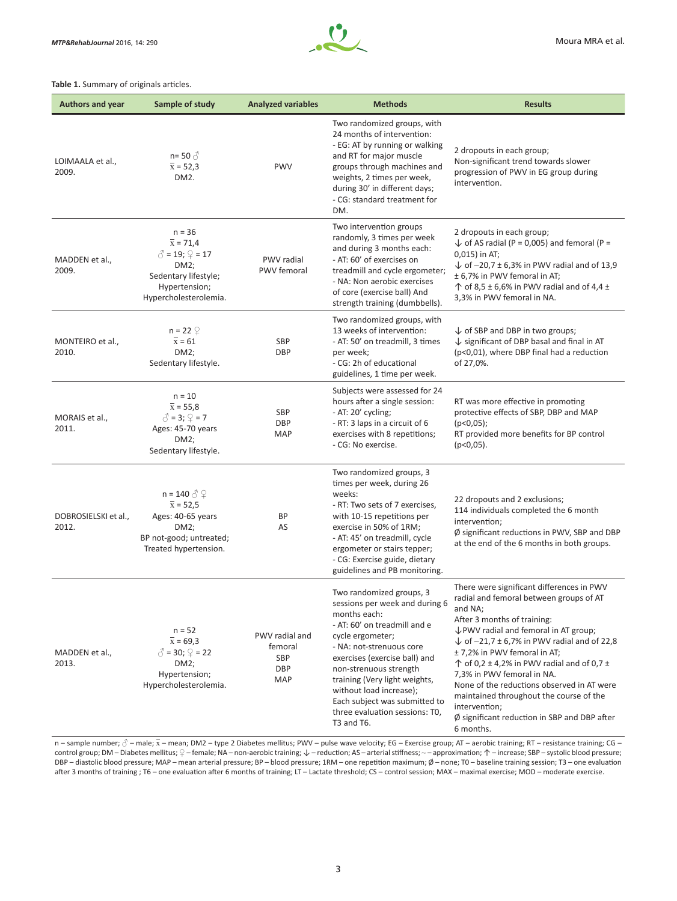

#### **Table 1.** Summary of originals articles.

| <b>Authors and year</b>       | Sample of study                                                                                                                                                      | <b>Analyzed variables</b>                      | <b>Methods</b>                                                                                                                                                                                                                                                                                                                                                     | <b>Results</b>                                                                                                                                                                                                                                                                                                                                                                                                                                                                                                                                     |
|-------------------------------|----------------------------------------------------------------------------------------------------------------------------------------------------------------------|------------------------------------------------|--------------------------------------------------------------------------------------------------------------------------------------------------------------------------------------------------------------------------------------------------------------------------------------------------------------------------------------------------------------------|----------------------------------------------------------------------------------------------------------------------------------------------------------------------------------------------------------------------------------------------------------------------------------------------------------------------------------------------------------------------------------------------------------------------------------------------------------------------------------------------------------------------------------------------------|
| LOIMAALA et al.,<br>2009.     | $n = 50 \text{ } \textcircled{}$<br>$\bar{x}$ = 52,3<br>DM <sub>2</sub> .                                                                                            | <b>PWV</b>                                     | Two randomized groups, with<br>24 months of intervention:<br>- EG: AT by running or walking<br>and RT for major muscle<br>groups through machines and<br>weights, 2 times per week,<br>during 30' in different days;<br>- CG: standard treatment for<br>DM.                                                                                                        | 2 dropouts in each group;<br>Non-significant trend towards slower<br>progression of PWV in EG group during<br>intervention.                                                                                                                                                                                                                                                                                                                                                                                                                        |
| MADDEN et al.,<br>2009.       | $n = 36$<br>$\overline{x}$ = 71,4<br>$\circled{1}$ = 19; $\circled{2}$ = 17<br>DM2;<br>Sedentary lifestyle;<br>Hypertension;<br>Hypercholesterolemia.                | <b>PWV</b> radial<br>PWV femoral               | Two intervention groups<br>randomly, 3 times per week<br>and during 3 months each:<br>- AT: 60' of exercises on<br>treadmill and cycle ergometer;<br>- NA: Non aerobic exercises<br>of core (exercise ball) And<br>strength training (dumbbells).                                                                                                                  | 2 dropouts in each group;<br>$\downarrow$ of AS radial (P = 0,005) and femoral (P =<br>0,015) in AT;<br>$\downarrow$ of ~20,7 ± 6,3% in PWV radial and of 13,9<br>± 6,7% in PWV femoral in AT;<br>$\uparrow$ of 8,5 ± 6,6% in PWV radial and of 4,4 ±<br>3,3% in PWV femoral in NA.                                                                                                                                                                                                                                                                |
| MONTEIRO et al.,<br>2010.     | $n = 22$ $\circledcirc$<br>$\overline{x}$ = 61<br>DM2;<br>Sedentary lifestyle.                                                                                       | SBP<br><b>DBP</b>                              | Two randomized groups, with<br>13 weeks of intervention:<br>- AT: 50' on treadmill, 3 times<br>per week;<br>- CG: 2h of educational<br>guidelines, 1 time per week.                                                                                                                                                                                                | $\downarrow$ of SBP and DBP in two groups;<br>$\downarrow$ significant of DBP basal and final in AT<br>(p<0,01), where DBP final had a reduction<br>of 27,0%.                                                                                                                                                                                                                                                                                                                                                                                      |
| MORAIS et al.,<br>2011.       | $n = 10$<br>$\bar{x}$ = 55,8<br>$\delta = 3; \mathcal{Q} = 7$<br>Ages: 45-70 years<br>DM2;<br>Sedentary lifestyle.                                                   | SBP<br><b>DBP</b><br>MAP                       | Subjects were assessed for 24<br>hours after a single session:<br>- AT: 20' cycling;<br>- RT: 3 laps in a circuit of 6<br>exercises with 8 repetitions;<br>- CG: No exercise.                                                                                                                                                                                      | RT was more effective in promoting<br>protective effects of SBP, DBP and MAP<br>$(p<0.05)$ ;<br>RT provided more benefits for BP control<br>$(p<0.05)$ .                                                                                                                                                                                                                                                                                                                                                                                           |
| DOBROSIELSKI et al.,<br>2012. | $n = 140 \text{ } \textcircled{} \textcircled{} \textcircled{}$<br>$\bar{x}$ = 52,5<br>Ages: 40-65 years<br>DM2;<br>BP not-good; untreated;<br>Treated hypertension. | ВP<br>AS                                       | Two randomized groups, 3<br>times per week, during 26<br>weeks:<br>- RT: Two sets of 7 exercises,<br>with 10-15 repetitions per<br>exercise in 50% of 1RM;<br>- AT: 45' on treadmill, cycle<br>ergometer or stairs tepper;<br>- CG: Exercise guide, dietary<br>guidelines and PB monitoring.                                                                       | 22 dropouts and 2 exclusions;<br>114 individuals completed the 6 month<br>intervention;<br>$\emptyset$ significant reductions in PWV, SBP and DBP<br>at the end of the 6 months in both groups.                                                                                                                                                                                                                                                                                                                                                    |
| MADDEN et al.,<br>2013.       | $n = 52$<br>$\bar{x} = 69.3$<br>$\delta$ = 30; $\Omega$ = 22<br>$DM2$ ;<br>Hypertension;<br>Hypercholesterolemia.                                                    | PWV radial and<br>femoral<br>SBP<br>DBP<br>MAP | Two randomized groups, 3<br>sessions per week and during 6<br>months each:<br>- AT: 60' on treadmill and e<br>cycle ergometer;<br>- NA: not-strenuous core<br>exercises (exercise ball) and<br>non-strenuous strength<br>training (Very light weights,<br>without load increase);<br>Each subject was submitted to<br>three evaluation sessions: T0.<br>T3 and T6. | There were significant differences in PWV<br>radial and femoral between groups of AT<br>and NA;<br>After 3 months of training:<br>$\downarrow$ PWV radial and femoral in AT group;<br>$\downarrow$ of ~21,7 ± 6,7% in PWV radial and of 22,8<br>± 7,2% in PWV femoral in AT;<br>$\uparrow$ of 0,2 ± 4,2% in PWV radial and of 0,7 ±<br>7,3% in PWV femoral in NA.<br>None of the reductions observed in AT were<br>maintained throughout the course of the<br>intervention;<br>$\emptyset$ significant reduction in SBP and DBP after<br>6 months. |

n – sample number;  $\beta$  – male;  $\bar{x}$  – mean; DM2 – type 2 Diabetes mellitus; PWV – pulse wave velocity; EG – Exercise group; AT – aerobic training; RT – resistance training; CG – control group; DM – Diabetes mellitus; ♀ – female; NA – non-aerobic training; ↓ – reduction; AS – arterial stiffness; ~ – approximation; ↑ – increase; SBP – systolic blood pressure; DBP – diastolic blood pressure; MAP – mean arterial pressure; BP – blood pressure; 1RM – one repetition maximum; Ø – none; T0 – baseline training session; T3 – one evaluation after 3 months of training ; T6 – one evaluation after 6 months of training; LT – Lactate threshold; CS – control session; MAX – maximal exercise; MOD – moderate exercise.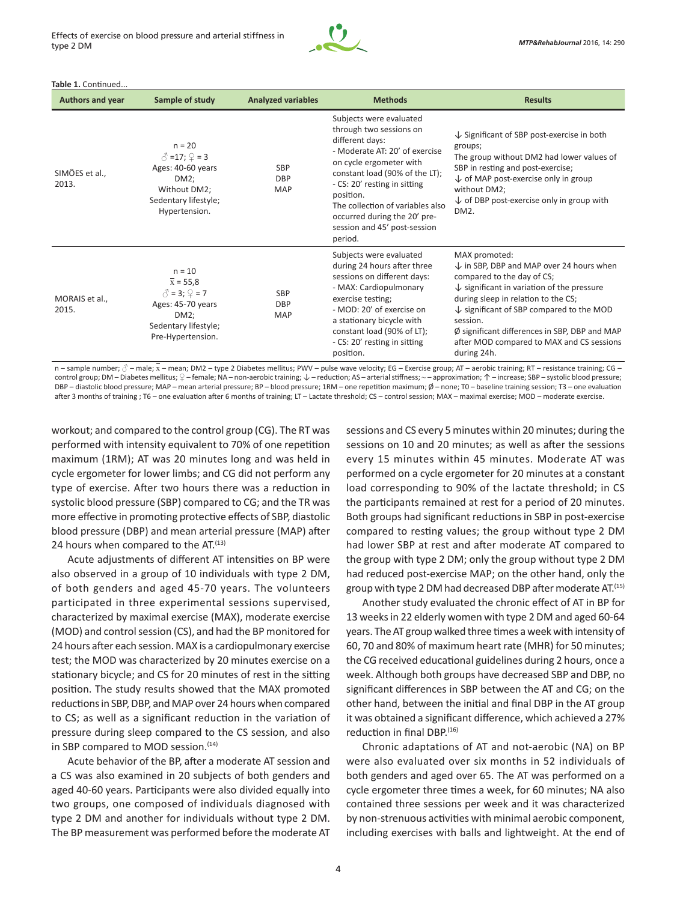

#### **Table 1.** Continued...

| <b>Authors and year</b> | Sample of study                                                                                                                            | <b>Analyzed variables</b>              | <b>Methods</b>                                                                                                                                                                                                                                                                                                                   | <b>Results</b>                                                                                                                                                                                                                                                                                                                                                                               |
|-------------------------|--------------------------------------------------------------------------------------------------------------------------------------------|----------------------------------------|----------------------------------------------------------------------------------------------------------------------------------------------------------------------------------------------------------------------------------------------------------------------------------------------------------------------------------|----------------------------------------------------------------------------------------------------------------------------------------------------------------------------------------------------------------------------------------------------------------------------------------------------------------------------------------------------------------------------------------------|
| SIMÕES et al.,<br>2013. | $n = 20$<br>$\hat{O} = 17; \hat{V} = 3$<br>Ages: 40-60 years<br>$DM2$ ;<br>Without DM2;<br>Sedentary lifestyle;<br>Hypertension.           | <b>SBP</b><br><b>DBP</b><br><b>MAP</b> | Subjects were evaluated<br>through two sessions on<br>different days:<br>- Moderate AT: 20' of exercise<br>on cycle ergometer with<br>constant load (90% of the LT);<br>- CS: 20' resting in sitting<br>position.<br>The collection of variables also<br>occurred during the 20' pre-<br>session and 45' post-session<br>period. | $\downarrow$ Significant of SBP post-exercise in both<br>groups;<br>The group without DM2 had lower values of<br>SBP in resting and post-exercise;<br>$\downarrow$ of MAP post-exercise only in group<br>without DM2;<br>$\downarrow$ of DBP post-exercise only in group with<br>DM <sub>2</sub> .                                                                                           |
| MORAIS et al.,<br>2015. | $n = 10$<br>$\bar{x}$ = 55,8<br>$\hat{C} = 3$ ; $\hat{Q} = 7$<br>Ages: 45-70 years<br>$DM2$ ;<br>Sedentary lifestyle;<br>Pre-Hypertension. | <b>SBP</b><br><b>DBP</b><br><b>MAP</b> | Subjects were evaluated<br>during 24 hours after three<br>sessions on different days:<br>- MAX: Cardiopulmonary<br>exercise testing;<br>- MOD: 20' of exercise on<br>a stationary bicycle with<br>constant load (90% of LT);<br>- CS: 20' resting in sitting<br>position.                                                        | MAX promoted:<br>$\downarrow$ in SBP, DBP and MAP over 24 hours when<br>compared to the day of CS;<br>$\downarrow$ significant in variation of the pressure<br>during sleep in relation to the CS;<br>$\downarrow$ significant of SBP compared to the MOD<br>session.<br>$\emptyset$ significant differences in SBP, DBP and MAP<br>after MOD compared to MAX and CS sessions<br>during 24h. |

n – sample number;  $\beta$  – male;  $\bar{x}$  – mean; DM2 – type 2 Diabetes mellitus; PWV – pulse wave velocity; EG – Exercise group; AT – aerobic training; RT – resistance training; CG – control group; DM – Diabetes mellitus; ♀ – female; NA – non-aerobic training; ↓ – reduction; AS – arterial stiffness; ~ – approximation; ↑ – increase; SBP – systolic blood pressure; DBP – diastolic blood pressure; MAP – mean arterial pressure; BP – blood pressure; 1RM – one repetition maximum; Ø – none; T0 – baseline training session; T3 – one evaluation after 3 months of training ; T6 – one evaluation after 6 months of training; LT – Lactate threshold; CS – control session; MAX – maximal exercise; MOD – moderate exercise.

workout; and compared to the control group (CG). The RT was performed with intensity equivalent to 70% of one repetition maximum (1RM); AT was 20 minutes long and was held in cycle ergometer for lower limbs; and CG did not perform any type of exercise. After two hours there was a reduction in systolic blood pressure (SBP) compared to CG; and the TR was more effective in promoting protective effects of SBP, diastolic blood pressure (DBP) and mean arterial pressure (MAP) after 24 hours when compared to the AT.<sup>(13)</sup>

Acute adjustments of different AT intensities on BP were also observed in a group of 10 individuals with type 2 DM, of both genders and aged 45-70 years. The volunteers participated in three experimental sessions supervised, characterized by maximal exercise (MAX), moderate exercise (MOD) and control session (CS), and had the BP monitored for 24 hours after each session. MAX is a cardiopulmonary exercise test; the MOD was characterized by 20 minutes exercise on a stationary bicycle; and CS for 20 minutes of rest in the sitting position. The study results showed that the MAX promoted reductions in SBP, DBP, and MAP over 24 hours when compared to CS; as well as a significant reduction in the variation of pressure during sleep compared to the CS session, and also in SBP compared to MOD session.<sup>(14)</sup>

Acute behavior of the BP, after a moderate AT session and a CS was also examined in 20 subjects of both genders and aged 40-60 years. Participants were also divided equally into two groups, one composed of individuals diagnosed with type 2 DM and another for individuals without type 2 DM. The BP measurement was performed before the moderate AT

sessions and CS every 5 minutes within 20 minutes; during the sessions on 10 and 20 minutes; as well as after the sessions every 15 minutes within 45 minutes. Moderate AT was performed on a cycle ergometer for 20 minutes at a constant load corresponding to 90% of the lactate threshold; in CS the participants remained at rest for a period of 20 minutes. Both groups had significant reductions in SBP in post-exercise compared to resting values; the group without type 2 DM had lower SBP at rest and after moderate AT compared to the group with type 2 DM; only the group without type 2 DM had reduced post-exercise MAP; on the other hand, only the group with type 2 DM had decreased DBP after moderate AT.<sup>(15)</sup>

Another study evaluated the chronic effect of AT in BP for 13 weeks in 22 elderly women with type 2 DM and aged 60-64 years. The AT group walked three times a week with intensity of 60, 70 and 80% of maximum heart rate (MHR) for 50 minutes; the CG received educational guidelines during 2 hours, once a week. Although both groups have decreased SBP and DBP, no significant differences in SBP between the AT and CG; on the other hand, between the initial and final DBP in the AT group it was obtained a significant difference, which achieved a 27% reduction in final DBP. $(16)$ 

Chronic adaptations of AT and not-aerobic (NA) on BP were also evaluated over six months in 52 individuals of both genders and aged over 65. The AT was performed on a cycle ergometer three times a week, for 60 minutes; NA also contained three sessions per week and it was characterized by non-strenuous activities with minimal aerobic component, including exercises with balls and lightweight. At the end of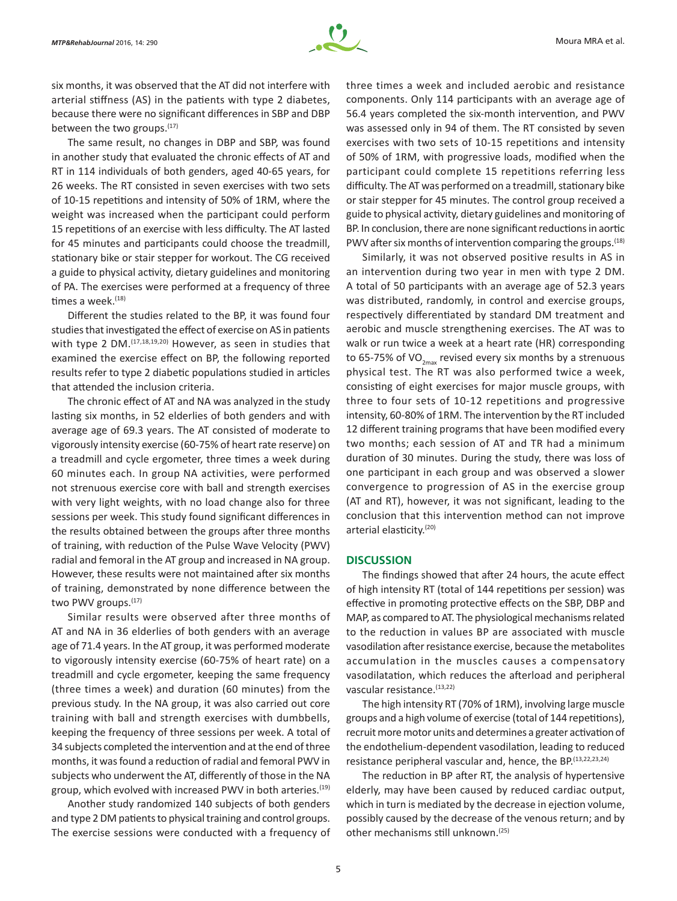

six months, it was observed that the AT did not interfere with arterial stiffness (AS) in the patients with type 2 diabetes, because there were no significant differences in SBP and DBP between the two groups. $(17)$ 

The same result, no changes in DBP and SBP, was found in another study that evaluated the chronic effects of AT and RT in 114 individuals of both genders, aged 40-65 years, for 26 weeks. The RT consisted in seven exercises with two sets of 10-15 repetitions and intensity of 50% of 1RM, where the weight was increased when the participant could perform 15 repetitions of an exercise with less difficulty. The AT lasted for 45 minutes and participants could choose the treadmill, stationary bike or stair stepper for workout. The CG received a guide to physical activity, dietary guidelines and monitoring of PA. The exercises were performed at a frequency of three times a week.<sup>(18)</sup>

Different the studies related to the BP, it was found four studies that investigated the effect of exercise on AS in patients with type 2 DM.<sup>(17,18,19,20)</sup> However, as seen in studies that examined the exercise effect on BP, the following reported results refer to type 2 diabetic populations studied in articles that attended the inclusion criteria.

The chronic effect of AT and NA was analyzed in the study lasting six months, in 52 elderlies of both genders and with average age of 69.3 years. The AT consisted of moderate to vigorously intensity exercise (60-75% of heart rate reserve) on a treadmill and cycle ergometer, three times a week during 60 minutes each. In group NA activities, were performed not strenuous exercise core with ball and strength exercises with very light weights, with no load change also for three sessions per week. This study found significant differences in the results obtained between the groups after three months of training, with reduction of the Pulse Wave Velocity (PWV) radial and femoral in the AT group and increased in NA group. However, these results were not maintained after six months of training, demonstrated by none difference between the two PWV groups.<sup>(17)</sup>

Similar results were observed after three months of AT and NA in 36 elderlies of both genders with an average age of 71.4 years. In the AT group, it was performed moderate to vigorously intensity exercise (60-75% of heart rate) on a treadmill and cycle ergometer, keeping the same frequency (three times a week) and duration (60 minutes) from the previous study. In the NA group, it was also carried out core training with ball and strength exercises with dumbbells, keeping the frequency of three sessions per week. A total of 34 subjects completed the intervention and at the end of three months, it was found a reduction of radial and femoral PWV in subjects who underwent the AT, differently of those in the NA group, which evolved with increased PWV in both arteries.<sup>(19)</sup>

Another study randomized 140 subjects of both genders and type 2 DM patients to physical training and control groups. The exercise sessions were conducted with a frequency of three times a week and included aerobic and resistance components. Only 114 participants with an average age of 56.4 years completed the six-month intervention, and PWV was assessed only in 94 of them. The RT consisted by seven exercises with two sets of 10-15 repetitions and intensity of 50% of 1RM, with progressive loads, modified when the participant could complete 15 repetitions referring less difficulty. The AT was performed on a treadmill, stationary bike or stair stepper for 45 minutes. The control group received a guide to physical activity, dietary guidelines and monitoring of BP. In conclusion, there are none significant reductions in aortic PWV after six months of intervention comparing the groups.<sup>(18)</sup>

Similarly, it was not observed positive results in AS in an intervention during two year in men with type 2 DM. A total of 50 participants with an average age of 52.3 years was distributed, randomly, in control and exercise groups, respectively differentiated by standard DM treatment and aerobic and muscle strengthening exercises. The AT was to walk or run twice a week at a heart rate (HR) corresponding to 65-75% of VO<sub>2max</sub> revised every six months by a strenuous physical test. The RT was also performed twice a week, consisting of eight exercises for major muscle groups, with three to four sets of 10-12 repetitions and progressive intensity, 60-80% of 1RM. The intervention by the RT included 12 different training programs that have been modified every two months; each session of AT and TR had a minimum duration of 30 minutes. During the study, there was loss of one participant in each group and was observed a slower convergence to progression of AS in the exercise group (AT and RT), however, it was not significant, leading to the conclusion that this intervention method can not improve arterial elasticity.<sup>(20)</sup>

## **DISCUSSION**

The findings showed that after 24 hours, the acute effect of high intensity RT (total of 144 repetitions per session) was effective in promoting protective effects on the SBP, DBP and MAP, as compared to AT. The physiological mechanisms related to the reduction in values BP are associated with muscle vasodilation after resistance exercise, because the metabolites accumulation in the muscles causes a compensatory vasodilatation, which reduces the afterload and peripheral vascular resistance. (13,22)

The high intensity RT (70% of 1RM), involving large muscle groups and a high volume of exercise (total of 144 repetitions), recruit more motor units and determines a greater activation of the endothelium-dependent vasodilation, leading to reduced resistance peripheral vascular and, hence, the BP.<sup>(13,22,23,24)</sup>

The reduction in BP after RT, the analysis of hypertensive elderly, may have been caused by reduced cardiac output, which in turn is mediated by the decrease in ejection volume, possibly caused by the decrease of the venous return; and by other mechanisms still unknown.(25)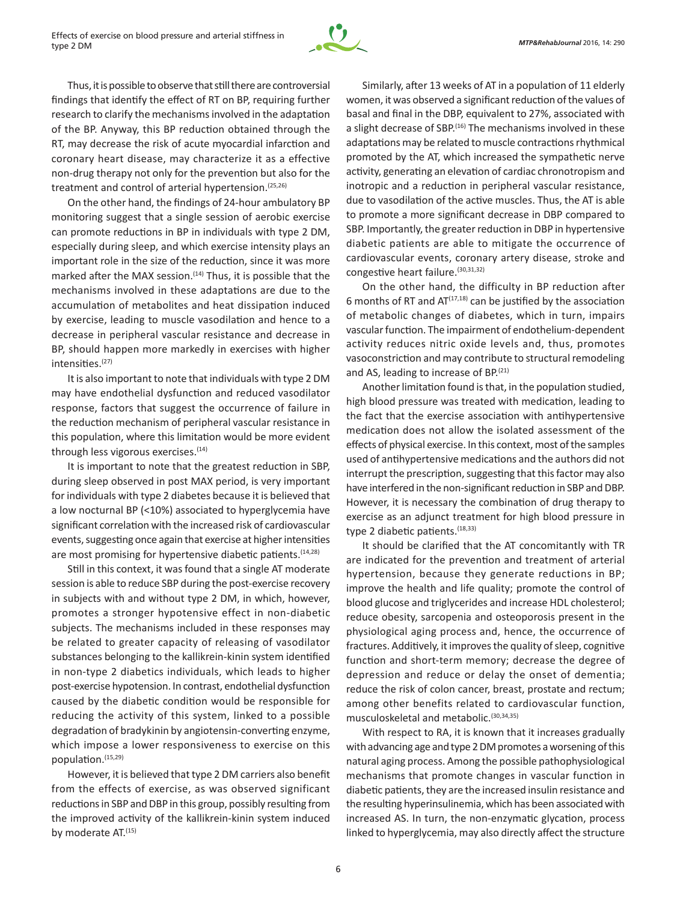

Thus, it is possible to observe that still there are controversial findings that identify the effect of RT on BP, requiring further research to clarify the mechanisms involved in the adaptation of the BP. Anyway, this BP reduction obtained through the RT, may decrease the risk of acute myocardial infarction and coronary heart disease, may characterize it as a effective non-drug therapy not only for the prevention but also for the treatment and control of arterial hypertension.<sup>(25,26)</sup>

On the other hand, the findings of 24-hour ambulatory BP monitoring suggest that a single session of aerobic exercise can promote reductions in BP in individuals with type 2 DM, especially during sleep, and which exercise intensity plays an important role in the size of the reduction, since it was more marked after the MAX session.<sup>(14)</sup> Thus, it is possible that the mechanisms involved in these adaptations are due to the accumulation of metabolites and heat dissipation induced by exercise, leading to muscle vasodilation and hence to a decrease in peripheral vascular resistance and decrease in BP, should happen more markedly in exercises with higher intensities.(27)

It is also important to note that individuals with type 2 DM may have endothelial dysfunction and reduced vasodilator response, factors that suggest the occurrence of failure in the reduction mechanism of peripheral vascular resistance in this population, where this limitation would be more evident through less vigorous exercises.<sup>(14)</sup>

It is important to note that the greatest reduction in SBP, during sleep observed in post MAX period, is very important for individuals with type 2 diabetes because it is believed that a low nocturnal BP (<10%) associated to hyperglycemia have significant correlation with the increased risk of cardiovascular events, suggesting once again that exercise at higher intensities are most promising for hypertensive diabetic patients.<sup>(14,28)</sup>

Still in this context, it was found that a single AT moderate session is able to reduce SBP during the post-exercise recovery in subjects with and without type 2 DM, in which, however, promotes a stronger hypotensive effect in non-diabetic subjects. The mechanisms included in these responses may be related to greater capacity of releasing of vasodilator substances belonging to the kallikrein-kinin system identified in non-type 2 diabetics individuals, which leads to higher post‑exercise hypotension. In contrast, endothelial dysfunction caused by the diabetic condition would be responsible for reducing the activity of this system, linked to a possible degradation of bradykinin by angiotensin-converting enzyme, which impose a lower responsiveness to exercise on this population.(15,29)

However, it is believed that type 2 DM carriers also benefit from the effects of exercise, as was observed significant reductions in SBP and DBP in this group, possibly resulting from the improved activity of the kallikrein-kinin system induced by moderate AT.<sup>(15)</sup>

Similarly, after 13 weeks of AT in a population of 11 elderly women, it was observed a significant reduction of the values of basal and final in the DBP, equivalent to 27%, associated with a slight decrease of SBP.<sup>(16)</sup> The mechanisms involved in these adaptations may be related to muscle contractions rhythmical promoted by the AT, which increased the sympathetic nerve activity, generating an elevation of cardiac chronotropism and inotropic and a reduction in peripheral vascular resistance, due to vasodilation of the active muscles. Thus, the AT is able to promote a more significant decrease in DBP compared to SBP. Importantly, the greater reduction in DBP in hypertensive diabetic patients are able to mitigate the occurrence of cardiovascular events, coronary artery disease, stroke and congestive heart failure.(30,31,32)

On the other hand, the difficulty in BP reduction after 6 months of RT and  $AT^{(17,18)}$  can be justified by the association of metabolic changes of diabetes, which in turn, impairs vascular function. The impairment of endothelium-dependent activity reduces nitric oxide levels and, thus, promotes vasoconstriction and may contribute to structural remodeling and AS, leading to increase of BP.<sup>(21)</sup>

Another limitation found is that, in the population studied, high blood pressure was treated with medication, leading to the fact that the exercise association with antihypertensive medication does not allow the isolated assessment of the effects of physical exercise. In this context, most of the samples used of antihypertensive medications and the authors did not interrupt the prescription, suggesting that this factor may also have interfered in the non-significant reduction in SBP and DBP. However, it is necessary the combination of drug therapy to exercise as an adjunct treatment for high blood pressure in type 2 diabetic patients. (18,33)

It should be clarified that the AT concomitantly with TR are indicated for the prevention and treatment of arterial hypertension, because they generate reductions in BP; improve the health and life quality; promote the control of blood glucose and triglycerides and increase HDL cholesterol; reduce obesity, sarcopenia and osteoporosis present in the physiological aging process and, hence, the occurrence of fractures. Additively, it improves the quality of sleep, cognitive function and short-term memory; decrease the degree of depression and reduce or delay the onset of dementia; reduce the risk of colon cancer, breast, prostate and rectum; among other benefits related to cardiovascular function, musculoskeletal and metabolic.(30,34,35)

With respect to RA, it is known that it increases gradually with advancing age and type 2 DM promotes a worsening of this natural aging process. Among the possible pathophysiological mechanisms that promote changes in vascular function in diabetic patients, they are the increased insulin resistance and the resulting hyperinsulinemia, which has been associated with increased AS. In turn, the non-enzymatic glycation, process linked to hyperglycemia, may also directly affect the structure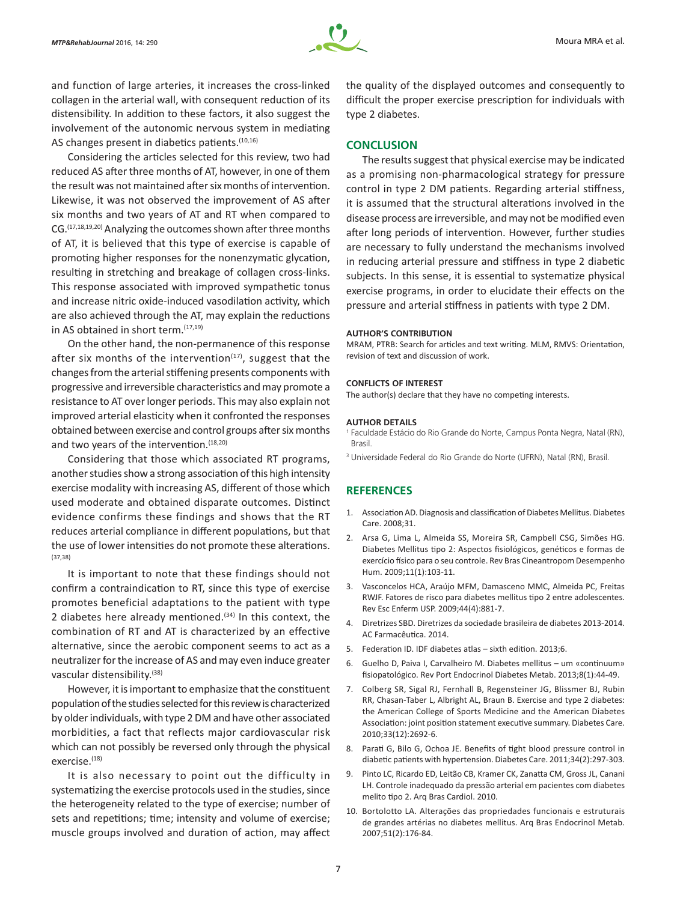

and function of large arteries, it increases the cross-linked collagen in the arterial wall, with consequent reduction of its distensibility. In addition to these factors, it also suggest the involvement of the autonomic nervous system in mediating AS changes present in diabetics patients.<sup>(10,16)</sup>

Considering the articles selected for this review, two had reduced AS after three months of AT, however, in one of them the result was not maintained after six months of intervention. Likewise, it was not observed the improvement of AS after six months and two years of AT and RT when compared to CG.(17,18,19,20) Analyzing the outcomes shown after three months of AT, it is believed that this type of exercise is capable of promoting higher responses for the nonenzymatic glycation, resulting in stretching and breakage of collagen cross-links. This response associated with improved sympathetic tonus and increase nitric oxide-induced vasodilation activity, which are also achieved through the AT, may explain the reductions in AS obtained in short term.<sup>(17,19)</sup>

On the other hand, the non-permanence of this response after six months of the intervention $(17)$ , suggest that the changes from the arterial stiffening presents components with progressive and irreversible characteristics and may promote a resistance to AT over longer periods. This may also explain not improved arterial elasticity when it confronted the responses obtained between exercise and control groups after six months and two years of the intervention.<sup>(18,20)</sup>

Considering that those which associated RT programs, another studies show a strong association of this high intensity exercise modality with increasing AS, different of those which used moderate and obtained disparate outcomes. Distinct evidence confirms these findings and shows that the RT reduces arterial compliance in different populations, but that the use of lower intensities do not promote these alterations. (37,38)

It is important to note that these findings should not confirm a contraindication to RT, since this type of exercise promotes beneficial adaptations to the patient with type 2 diabetes here already mentioned.<sup> $(34)$ </sup> In this context, the combination of RT and AT is characterized by an effective alternative, since the aerobic component seems to act as a neutralizer for the increase of AS and may even induce greater vascular distensibility.(38)

However, it is important to emphasize that the constituent population of the studies selected for this review is characterized by older individuals, with type 2 DM and have other associated morbidities, a fact that reflects major cardiovascular risk which can not possibly be reversed only through the physical exercise.<sup>(18)</sup>

It is also necessary to point out the difficulty in systematizing the exercise protocols used in the studies, since the heterogeneity related to the type of exercise; number of sets and repetitions; time; intensity and volume of exercise; muscle groups involved and duration of action, may affect the quality of the displayed outcomes and consequently to difficult the proper exercise prescription for individuals with type 2 diabetes.

## **CONCLUSION**

The results suggest that physical exercise may be indicated as a promising non-pharmacological strategy for pressure control in type 2 DM patients. Regarding arterial stiffness, it is assumed that the structural alterations involved in the disease process are irreversible, and may not be modified even after long periods of intervention. However, further studies are necessary to fully understand the mechanisms involved in reducing arterial pressure and stiffness in type 2 diabetic subjects. In this sense, it is essential to systematize physical exercise programs, in order to elucidate their effects on the pressure and arterial stiffness in patients with type 2 DM.

#### **AUTHOR'S CONTRIBUTION**

MRAM, PTRB: Search for articles and text writing. MLM, RMVS: Orientation, revision of text and discussion of work.

#### **CONFLICTS OF INTEREST**

The author(s) declare that they have no competing interests.

#### **AUTHOR DETAILS**

<sup>1</sup> Faculdade Estácio do Rio Grande do Norte, Campus Ponta Negra, Natal (RN), Brasil.

<sup>3</sup> Universidade Federal do Rio Grande do Norte (UFRN), Natal (RN), Brasil.

## **REFERENCES**

- 1. Association AD. Diagnosis and classification of Diabetes Mellitus. Diabetes Care. 2008;31.
- 2. Arsa G, Lima L, Almeida SS, Moreira SR, Campbell CSG, Simões HG. Diabetes Mellitus tipo 2: Aspectos fisiológicos, genéticos e formas de exercício físico para o seu controle. Rev Bras Cineantropom Desempenho Hum. 2009;11(1):103-11.
- 3. Vasconcelos HCA, Araújo MFM, Damasceno MMC, Almeida PC, Freitas RWJF. Fatores de risco para diabetes mellitus tipo 2 entre adolescentes. Rev Esc Enferm USP. 2009;44(4):881-7.
- 4. Diretrizes SBD. Diretrizes da sociedade brasileira de diabetes 2013-2014. AC Farmacêutica. 2014.
- 5. Federation ID. IDF diabetes atlas sixth edition. 2013;6.
- 6. Guelho D, Paiva I, Carvalheiro M. Diabetes mellitus um «continuum» fisiopatológico. Rev Port Endocrinol Diabetes Metab. 2013;8(1):44-49.
- 7. Colberg SR, Sigal RJ, Fernhall B, Regensteiner JG, Blissmer BJ, Rubin RR, Chasan-Taber L, Albright AL, Braun B. Exercise and type 2 diabetes: the American College of Sports Medicine and the American Diabetes Association: joint position statement executive summary. Diabetes Care. 2010;33(12):2692-6.
- 8. Parati G, Bilo G, Ochoa JE. Benefits of tight blood pressure control in diabetic patients with hypertension. Diabetes Care. 2011;34(2):297-303.
- 9. Pinto LC, Ricardo ED, Leitão CB, Kramer CK, Zanatta CM, Gross JL, Canani LH. Controle inadequado da pressão arterial em pacientes com diabetes melito tipo 2. Arq Bras Cardiol. 2010.
- 10. Bortolotto LA. Alterações das propriedades funcionais e estruturais de grandes artérias no diabetes mellitus. Arq Bras Endocrinol Metab. 2007;51(2):176-84.